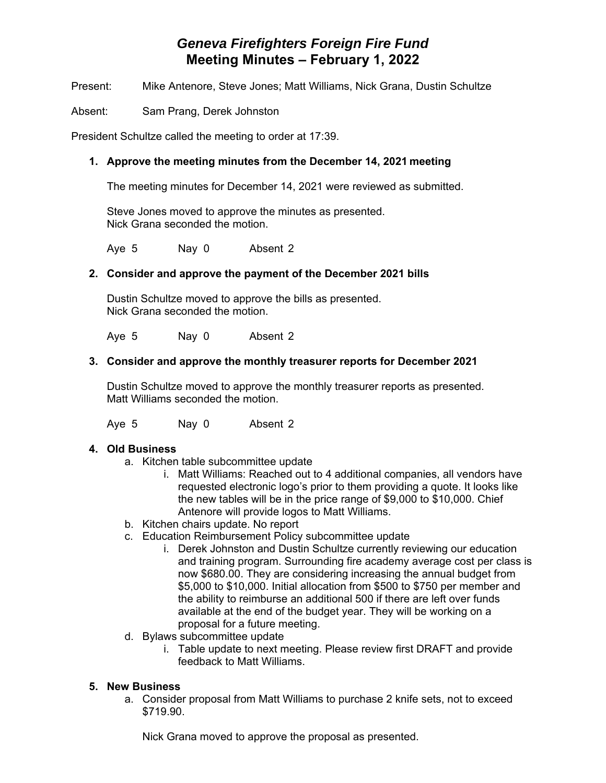# *Geneva Firefighters Foreign Fire Fund* **Meeting Minutes – February 1, 2022**

Present: Mike Antenore, Steve Jones; Matt Williams, Nick Grana, Dustin Schultze

Absent: Sam Prang, Derek Johnston

President Schultze called the meeting to order at 17:39.

## **1. Approve the meeting minutes from the December 14, 2021 meeting**

The meeting minutes for December 14, 2021 were reviewed as submitted.

 Steve Jones moved to approve the minutes as presented. Nick Grana seconded the motion.

Aye 5 Nay 0 Absent 2

## **2. Consider and approve the payment of the December 2021 bills**

Dustin Schultze moved to approve the bills as presented. Nick Grana seconded the motion.

Aye 5 Nay 0 Absent 2

#### **3. Consider and approve the monthly treasurer reports for December 2021**

Dustin Schultze moved to approve the monthly treasurer reports as presented. Matt Williams seconded the motion.

Aye 5 Nay 0 Absent 2

#### **4. Old Business**

- a. Kitchen table subcommittee update
	- i. Matt Williams: Reached out to 4 additional companies, all vendors have requested electronic logo's prior to them providing a quote. It looks like the new tables will be in the price range of \$9,000 to \$10,000. Chief Antenore will provide logos to Matt Williams.
- b. Kitchen chairs update. No report
- c. Education Reimbursement Policy subcommittee update
	- i. Derek Johnston and Dustin Schultze currently reviewing our education and training program. Surrounding fire academy average cost per class is now \$680.00. They are considering increasing the annual budget from \$5,000 to \$10,000. Initial allocation from \$500 to \$750 per member and the ability to reimburse an additional 500 if there are left over funds available at the end of the budget year. They will be working on a proposal for a future meeting.
- d. Bylaws subcommittee update
	- i. Table update to next meeting. Please review first DRAFT and provide feedback to Matt Williams.

#### **5. New Business**

a. Consider proposal from Matt Williams to purchase 2 knife sets, not to exceed \$719.90.

Nick Grana moved to approve the proposal as presented.